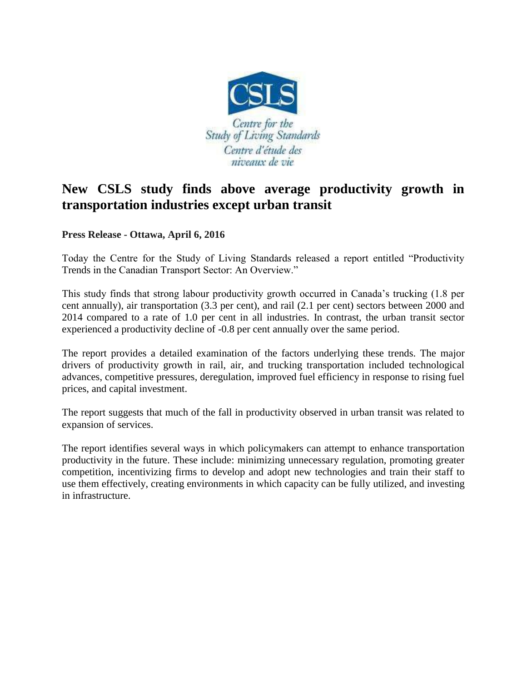

## **New CSLS study finds above average productivity growth in transportation industries except urban transit**

**Press Release - Ottawa, April 6, 2016**

Today the Centre for the Study of Living Standards released a report entitled "Productivity Trends in the Canadian Transport Sector: An Overview."

This study finds that strong labour productivity growth occurred in Canada's trucking (1.8 per cent annually), air transportation (3.3 per cent), and rail (2.1 per cent) sectors between 2000 and 2014 compared to a rate of 1.0 per cent in all industries. In contrast, the urban transit sector experienced a productivity decline of -0.8 per cent annually over the same period.

The report provides a detailed examination of the factors underlying these trends. The major drivers of productivity growth in rail, air, and trucking transportation included technological advances, competitive pressures, deregulation, improved fuel efficiency in response to rising fuel prices, and capital investment.

The report suggests that much of the fall in productivity observed in urban transit was related to expansion of services.

The report identifies several ways in which policymakers can attempt to enhance transportation productivity in the future. These include: minimizing unnecessary regulation, promoting greater competition, incentivizing firms to develop and adopt new technologies and train their staff to use them effectively, creating environments in which capacity can be fully utilized, and investing in infrastructure.